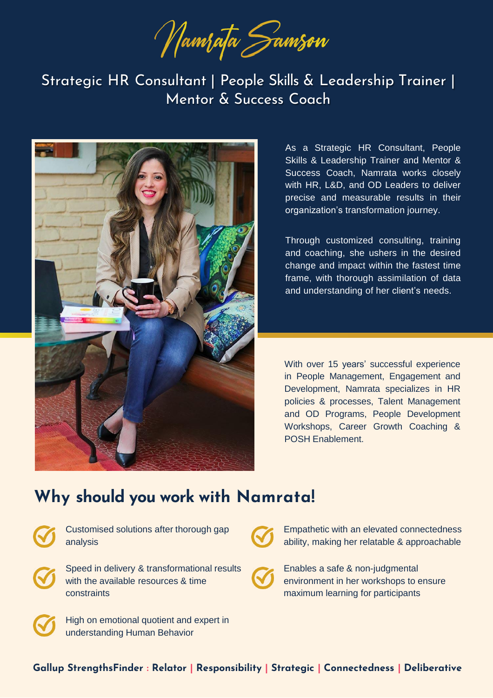Wamrata Samson

Strategic HR Consultant | People Skills & Leadership Trainer | Mentor & Success Coach



As a Strategic HR Consultant, People Skills & Leadership Trainer and Mentor & Success Coach, Namrata works closely with HR, L&D, and OD Leaders to deliver precise and measurable results in their organization's transformation journey.

Through customized consulting, training and coaching, she ushers in the desired change and impact within the fastest time frame, with thorough assimilation of data and understanding of her client's needs.

With over 15 years' successful experience in People Management, Engagement and Development, Namrata specializes in HR policies & processes, Talent Management and OD Programs, People Development Workshops, Career Growth Coaching & POSH Enablement.

## **Why should you work with Namrata!**



Customised solutions after thorough gap analysis



Speed in delivery & transformational results with the available resources & time constraints



Empathetic with an elevated connectedness ability, making her relatable & approachable





High on emotional quotient and expert in understanding Human Behavior